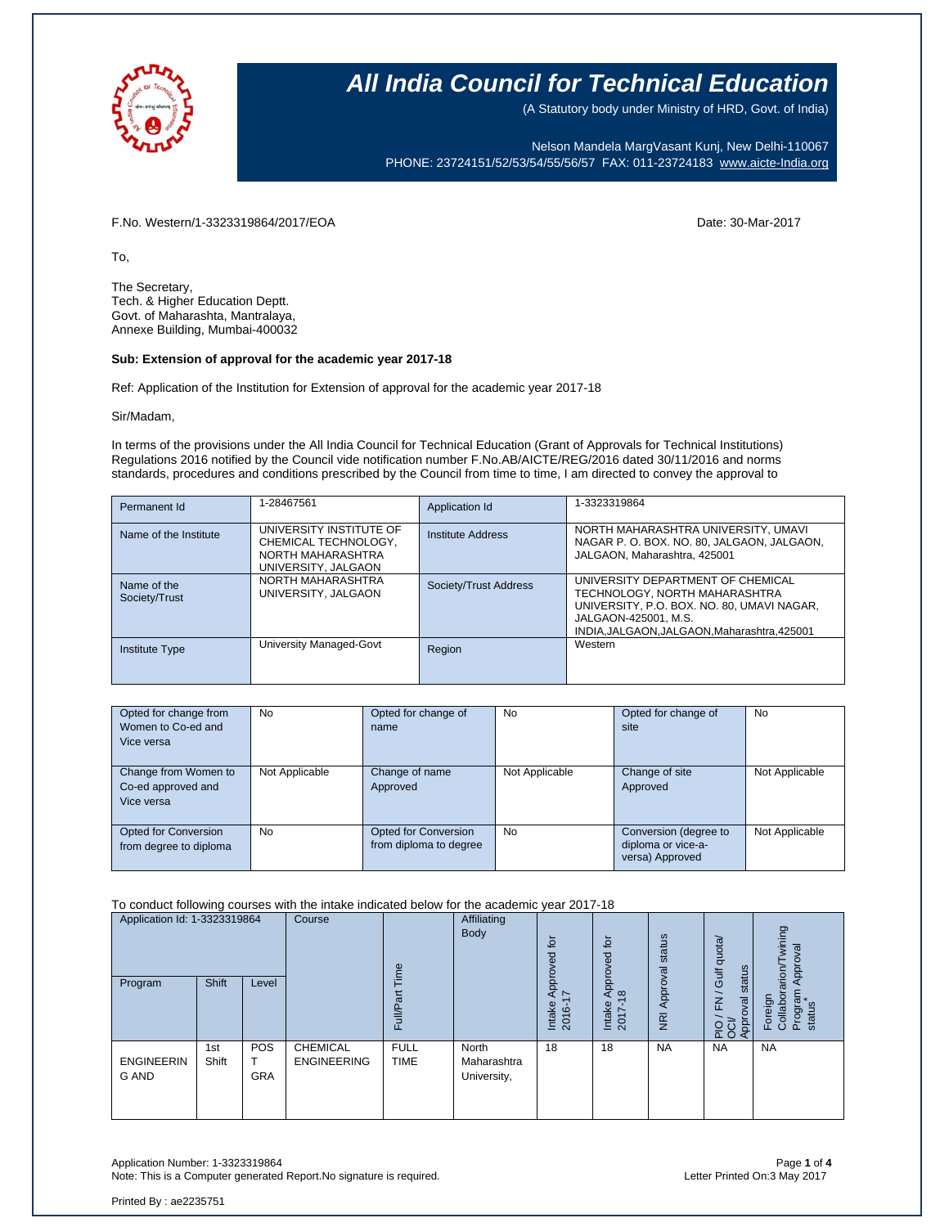

(A Statutory body under Ministry of HRD, Govt. of India)

Nelson Mandela MargVasant Kunj, New Delhi-110067 PHONE: 23724151/52/53/54/55/56/57 FAX: 011-23724183 [www.aicte-India.org](http://www.aicte-india.org/)

F.No. Western/1-3323319864/2017/EOA Date: 30-Mar-2017

To,

The Secretary, Tech. & Higher Education Deptt. Govt. of Maharashta, Mantralaya, Annexe Building, Mumbai-400032

#### **Sub: Extension of approval for the academic year 2017-18**

Ref: Application of the Institution for Extension of approval for the academic year 2017-18

Sir/Madam,

In terms of the provisions under the All India Council for Technical Education (Grant of Approvals for Technical Institutions) Regulations 2016 notified by the Council vide notification number F.No.AB/AICTE/REG/2016 dated 30/11/2016 and norms standards, procedures and conditions prescribed by the Council from time to time, I am directed to convey the approval to

| Permanent Id                 | 1-28467561                                                                                  | Application Id        | 1-3323319864                                                                                                                                                                         |
|------------------------------|---------------------------------------------------------------------------------------------|-----------------------|--------------------------------------------------------------------------------------------------------------------------------------------------------------------------------------|
| Name of the Institute        | UNIVERSITY INSTITUTE OF<br>CHEMICAL TECHNOLOGY,<br>NORTH MAHARASHTRA<br>UNIVERSITY, JALGAON | Institute Address     | NORTH MAHARASHTRA UNIVERSITY, UMAVI<br>NAGAR P. O. BOX. NO. 80, JALGAON, JALGAON,<br>JALGAON, Maharashtra, 425001                                                                    |
| Name of the<br>Society/Trust | NORTH MAHARASHTRA<br>UNIVERSITY, JALGAON                                                    | Society/Trust Address | UNIVERSITY DEPARTMENT OF CHEMICAL<br>TECHNOLOGY. NORTH MAHARASHTRA<br>UNIVERSITY, P.O. BOX. NO. 80, UMAVI NAGAR,<br>JALGAON-425001, M.S.<br>INDIA.JALGAON.JALGAON.Maharashtra.425001 |
| <b>Institute Type</b>        | University Managed-Govt                                                                     | Region                | Western                                                                                                                                                                              |

| Opted for change from<br>Women to Co-ed and<br>Vice versa | <b>No</b>      | Opted for change of<br>name                           | <b>No</b>      | Opted for change of<br>site                                    | <b>No</b>      |
|-----------------------------------------------------------|----------------|-------------------------------------------------------|----------------|----------------------------------------------------------------|----------------|
| Change from Women to<br>Co-ed approved and<br>Vice versa  | Not Applicable | Change of name<br>Approved                            | Not Applicable | Change of site<br>Approved                                     | Not Applicable |
| Opted for Conversion<br>from degree to diploma            | No.            | <b>Opted for Conversion</b><br>from diploma to degree | <b>No</b>      | Conversion (degree to<br>diploma or vice-a-<br>versa) Approved | Not Applicable |

To conduct following courses with the intake indicated below for the academic year 2017-18

| Application Id: 1-3323319864      |              | Course            | euil                                  | Affiliating<br>Body        | ίō<br>yed                           | $\overline{5}$<br>Approved            | status                         | quota/                     | wining<br>Approval                                 |                                                 |
|-----------------------------------|--------------|-------------------|---------------------------------------|----------------------------|-------------------------------------|---------------------------------------|--------------------------------|----------------------------|----------------------------------------------------|-------------------------------------------------|
| Program                           | <b>Shift</b> | Level             |                                       | ಹ<br>Full                  |                                     | Appro <sup>,</sup><br>Intake<br>2016- | $\infty$<br>Intake<br>$2017 -$ | Approval<br>$\overline{g}$ | status<br>Gulf<br>F <sub>N</sub><br>Approval<br>운항 | Foreign<br>Collaborarion/T<br>Program<br>status |
| <b>ENGINEERIN</b><br><b>G AND</b> | 1st<br>Shift | POS<br><b>GRA</b> | <b>CHEMICAL</b><br><b>ENGINEERING</b> | <b>FULL</b><br><b>TIME</b> | North<br>Maharashtra<br>University, | 18                                    | 18                             | <b>NA</b>                  | <b>NA</b>                                          | <b>NA</b>                                       |

Application Number: 1-3323319864 Page **1** of **4** Note: This is a Computer generated Report.No signature is required.

Printed By : ae2235751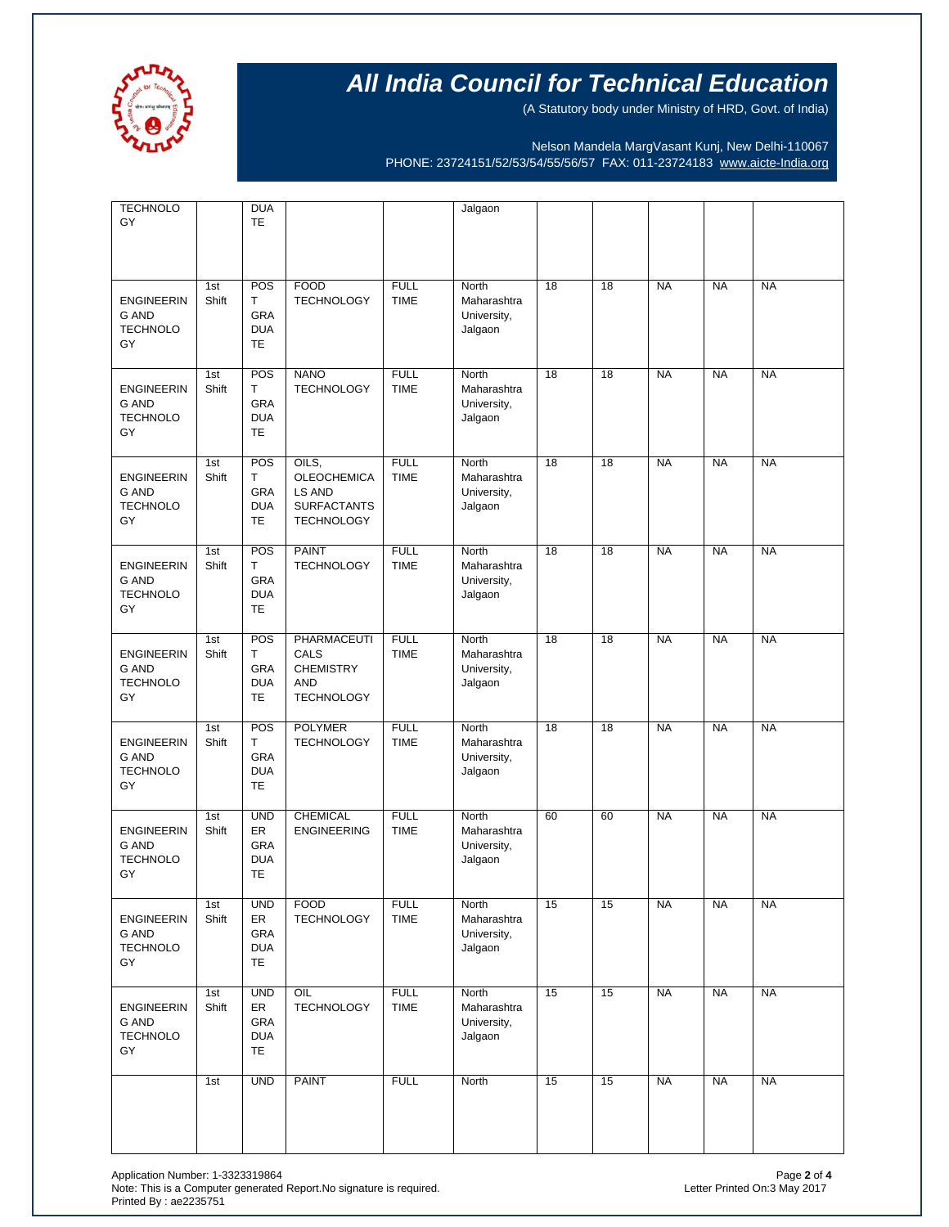

(A Statutory body under Ministry of HRD, Govt. of India)

Nelson Mandela MargVasant Kunj, New Delhi-110067 PHONE: 23724151/52/53/54/55/56/57 FAX: 011-23724183 [www.aicte-India.org](http://www.aicte-india.org/)

| <b>TECHNOLO</b><br>GY                                      |              | <b>DUA</b><br><b>TE</b>                                          |                                                                                  |                            | Jalgaon                                               |    |    |           |           |           |
|------------------------------------------------------------|--------------|------------------------------------------------------------------|----------------------------------------------------------------------------------|----------------------------|-------------------------------------------------------|----|----|-----------|-----------|-----------|
| <b>ENGINEERIN</b><br><b>G AND</b><br><b>TECHNOLO</b><br>GY | 1st<br>Shift | POS<br>T.<br><b>GRA</b><br><b>DUA</b><br><b>TE</b>               | <b>FOOD</b><br><b>TECHNOLOGY</b>                                                 | <b>FULL</b><br><b>TIME</b> | North<br>Maharashtra<br>University,<br>Jalgaon        | 18 | 18 | <b>NA</b> | <b>NA</b> | <b>NA</b> |
| <b>ENGINEERIN</b><br><b>G AND</b><br><b>TECHNOLO</b><br>GY | 1st<br>Shift | POS<br>T.<br>GRA<br><b>DUA</b><br><b>TE</b>                      | <b>NANO</b><br><b>TECHNOLOGY</b>                                                 | <b>FULL</b><br><b>TIME</b> | North<br>Maharashtra<br>University,<br>Jalgaon        | 18 | 18 | <b>NA</b> | <b>NA</b> | <b>NA</b> |
| <b>ENGINEERIN</b><br><b>G AND</b><br><b>TECHNOLO</b><br>GY | 1st<br>Shift | POS<br>T.<br><b>GRA</b><br><b>DUA</b><br><b>TE</b>               | OILS.<br><b>OLEOCHEMICA</b><br>LS AND<br><b>SURFACTANTS</b><br><b>TECHNOLOGY</b> | <b>FULL</b><br><b>TIME</b> | North<br>Maharashtra<br>University,<br>Jalgaon        | 18 | 18 | <b>NA</b> | <b>NA</b> | <b>NA</b> |
| <b>ENGINEERIN</b><br><b>G AND</b><br><b>TECHNOLO</b><br>GY | 1st<br>Shift | POS<br>T.<br><b>GRA</b><br><b>DUA</b><br><b>TE</b>               | <b>PAINT</b><br><b>TECHNOLOGY</b>                                                | <b>FULL</b><br><b>TIME</b> | North<br>Maharashtra<br>University,<br>Jalgaon        | 18 | 18 | <b>NA</b> | <b>NA</b> | <b>NA</b> |
| <b>ENGINEERIN</b><br><b>G AND</b><br><b>TECHNOLO</b><br>GY | 1st<br>Shift | POS<br>T.<br>GRA<br><b>DUA</b><br><b>TE</b>                      | PHARMACEUTI<br>CALS<br><b>CHEMISTRY</b><br><b>AND</b><br><b>TECHNOLOGY</b>       | <b>FULL</b><br><b>TIME</b> | North<br>Maharashtra<br>University,<br>Jalgaon        | 18 | 18 | <b>NA</b> | <b>NA</b> | <b>NA</b> |
| <b>ENGINEERIN</b><br><b>G AND</b><br><b>TECHNOLO</b><br>GY | 1st<br>Shift | POS<br>T.<br><b>GRA</b><br><b>DUA</b><br><b>TE</b>               | <b>POLYMER</b><br><b>TECHNOLOGY</b>                                              | <b>FULL</b><br><b>TIME</b> | North<br>Maharashtra<br>University,<br>Jalgaon        | 18 | 18 | <b>NA</b> | <b>NA</b> | <b>NA</b> |
| <b>ENGINEERIN</b><br><b>G AND</b><br><b>TECHNOLO</b><br>GY | 1st<br>Shift | <b>UND</b><br><b>ER</b><br><b>GRA</b><br><b>DUA</b><br><b>TE</b> | <b>CHEMICAL</b><br><b>ENGINEERING</b>                                            | <b>FULL</b><br><b>TIME</b> | <b>North</b><br>Maharashtra<br>University,<br>Jalgaon | 60 | 60 | <b>NA</b> | <b>NA</b> | <b>NA</b> |
| <b>ENGINEERIN</b><br>G AND<br><b>TECHNOLO</b><br>GY        | 1st<br>Shift | <b>UND</b><br>ER<br>GRA<br><b>DUA</b><br>TE                      | <b>FOOD</b><br><b>TECHNOLOGY</b>                                                 | <b>FULL</b><br><b>TIME</b> | North<br>Maharashtra<br>University,<br>Jalgaon        | 15 | 15 | <b>NA</b> | <b>NA</b> | <b>NA</b> |
| <b>ENGINEERIN</b><br>G AND<br><b>TECHNOLO</b><br>GY        | 1st<br>Shift | <b>UND</b><br>ER<br>GRA<br><b>DUA</b><br>TE                      | OIL<br><b>TECHNOLOGY</b>                                                         | <b>FULL</b><br><b>TIME</b> | North<br>Maharashtra<br>University,<br>Jalgaon        | 15 | 15 | <b>NA</b> | <b>NA</b> | <b>NA</b> |
|                                                            | 1st          | <b>UND</b>                                                       | <b>PAINT</b>                                                                     | <b>FULL</b>                | North                                                 | 15 | 15 | <b>NA</b> | <b>NA</b> | <b>NA</b> |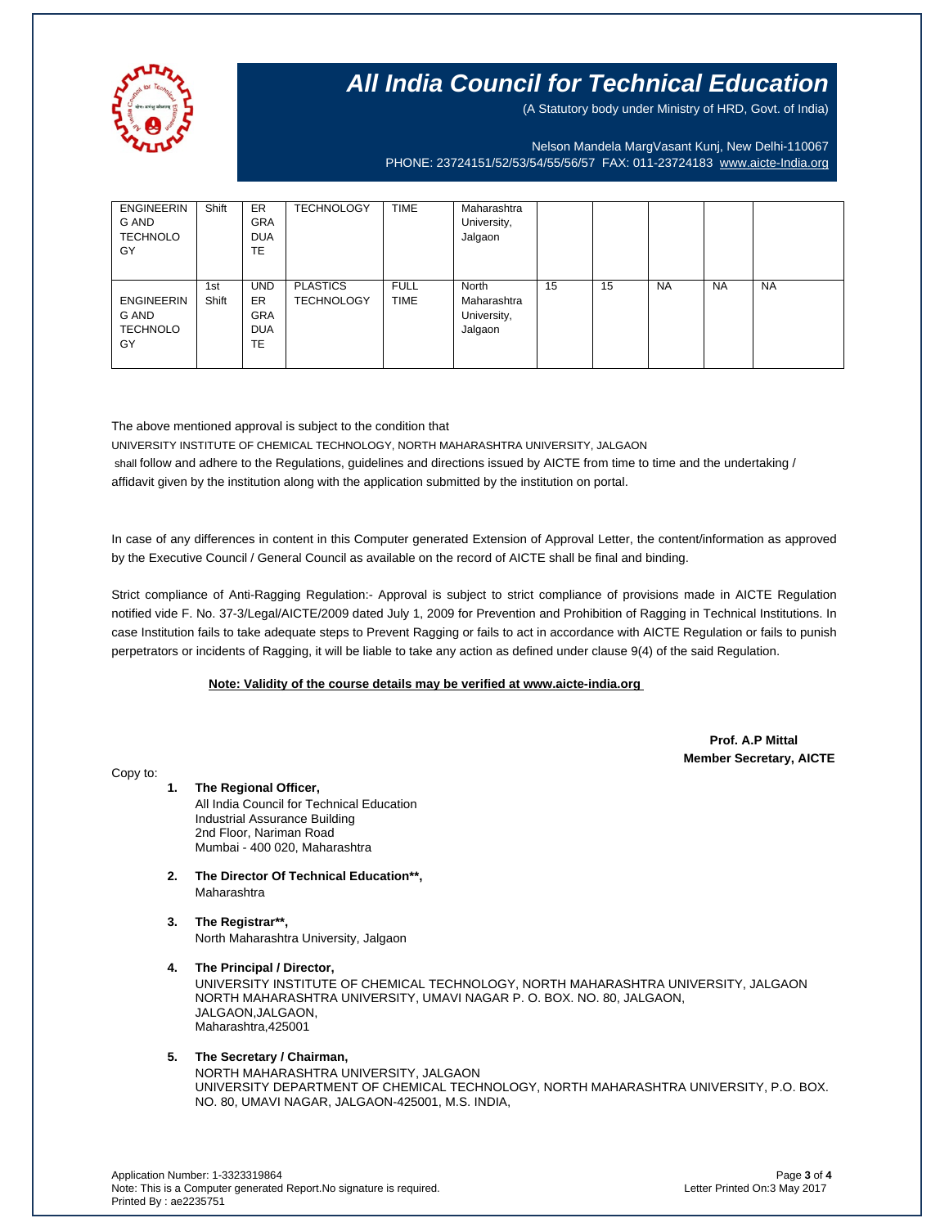

(A Statutory body under Ministry of HRD, Govt. of India)

Nelson Mandela MargVasant Kunj, New Delhi-110067 PHONE: 23724151/52/53/54/55/56/57 FAX: 011-23724183 [www.aicte-India.org](http://www.aicte-india.org/)

| <b>ENGINEERIN</b><br>G AND<br><b>TECHNOLO</b><br>GY | Shift        | <b>ER</b><br><b>GRA</b><br><b>DUA</b><br><b>TE</b>        | <b>TECHNOLOGY</b>                    | <b>TIME</b>                | Maharashtra<br>University,<br>Jalgaon          |    |    |           |           |           |
|-----------------------------------------------------|--------------|-----------------------------------------------------------|--------------------------------------|----------------------------|------------------------------------------------|----|----|-----------|-----------|-----------|
| <b>ENGINEERIN</b><br>G AND<br><b>TECHNOLO</b><br>GY | 1st<br>Shift | <b>UND</b><br><b>ER</b><br><b>GRA</b><br><b>DUA</b><br>TE | <b>PLASTICS</b><br><b>TECHNOLOGY</b> | <b>FULL</b><br><b>TIME</b> | North<br>Maharashtra<br>University,<br>Jalgaon | 15 | 15 | <b>NA</b> | <b>NA</b> | <b>NA</b> |

The above mentioned approval is subject to the condition that

UNIVERSITY INSTITUTE OF CHEMICAL TECHNOLOGY, NORTH MAHARASHTRA UNIVERSITY, JALGAON shall follow and adhere to the Regulations, guidelines and directions issued by AICTE from time to time and the undertaking / affidavit given by the institution along with the application submitted by the institution on portal.

In case of any differences in content in this Computer generated Extension of Approval Letter, the content/information as approved by the Executive Council / General Council as available on the record of AICTE shall be final and binding.

Strict compliance of Anti-Ragging Regulation:- Approval is subject to strict compliance of provisions made in AICTE Regulation notified vide F. No. 37-3/Legal/AICTE/2009 dated July 1, 2009 for Prevention and Prohibition of Ragging in Technical Institutions. In case Institution fails to take adequate steps to Prevent Ragging or fails to act in accordance with AICTE Regulation or fails to punish perpetrators or incidents of Ragging, it will be liable to take any action as defined under clause 9(4) of the said Regulation.

#### **Note: Validity of the course details may be verified at www.aicte-india.org**

 **Prof. A.P Mittal Member Secretary, AICTE**

Copy to:

- **1. The Regional Officer,** All India Council for Technical Education Industrial Assurance Building 2nd Floor, Nariman Road Mumbai - 400 020, Maharashtra
- **2. The Director Of Technical Education\*\*,** Maharashtra
- **3. The Registrar\*\*,** North Maharashtra University, Jalgaon
- **4. The Principal / Director,** UNIVERSITY INSTITUTE OF CHEMICAL TECHNOLOGY, NORTH MAHARASHTRA UNIVERSITY, JALGAON NORTH MAHARASHTRA UNIVERSITY, UMAVI NAGAR P. O. BOX. NO. 80, JALGAON, JALGAON,JALGAON, Maharashtra,425001

### **5. The Secretary / Chairman,**

NORTH MAHARASHTRA UNIVERSITY, JALGAON UNIVERSITY DEPARTMENT OF CHEMICAL TECHNOLOGY, NORTH MAHARASHTRA UNIVERSITY, P.O. BOX. NO. 80, UMAVI NAGAR, JALGAON-425001, M.S. INDIA,